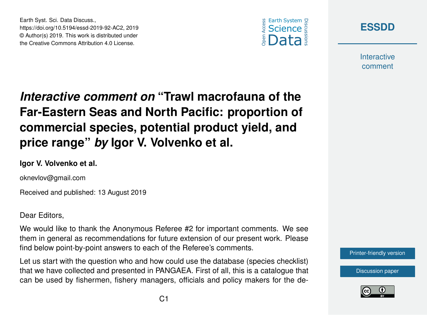



**Interactive** comment

# *Interactive comment on* **"Trawl macrofauna of the Far-Eastern Seas and North Pacific: proportion of commercial species, potential product yield, and price range"** *by* **Igor V. Volvenko et al.**

#### **Igor V. Volvenko et al.**

Earth Syst. Sci. Data Discuss.,

https://doi.org/10.5194/essd-2019-92-AC2, 2019 © Author(s) 2019. This work is distributed under the Creative Commons Attribution 4.0 License.

oknevlov@gmail.com

Received and published: 13 August 2019

Dear Editors,

We would like to thank the Anonymous Referee #2 for important comments. We see them in general as recommendations for future extension of our present work. Please find below point-by-point answers to each of the Referee's comments.

Let us start with the question who and how could use the database (species checklist) that we have collected and presented in PANGAEA. First of all, this is a catalogue that can be used by fishermen, fishery managers, officials and policy makers for the de-



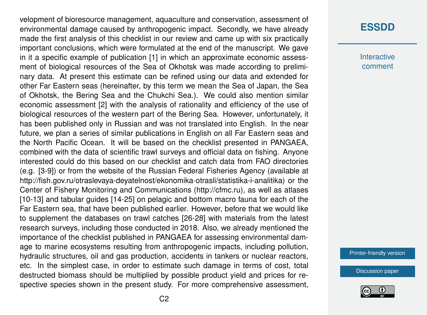velopment of bioresource management, aquaculture and conservation, assessment of environmental damage caused by anthropogenic impact. Secondly, we have already made the first analysis of this checklist in our review and came up with six practically important conclusions, which were formulated at the end of the manuscript. We gave in it a specific example of publication [1] in which an approximate economic assessment of biological resources of the Sea of Okhotsk was made according to preliminary data. At present this estimate can be refined using our data and extended for other Far Eastern seas (hereinafter, by this term we mean the Sea of Japan, the Sea of Okhotsk, the Bering Sea and the Chukchi Sea.). We could also mention similar economic assessment [2] with the analysis of rationality and efficiency of the use of biological resources of the western part of the Bering Sea. However, unfortunately, it has been published only in Russian and was not translated into English. In the near future, we plan a series of similar publications in English on all Far Eastern seas and the North Pacific Ocean. It will be based on the checklist presented in PANGAEA, combined with the data of scientific trawl surveys and official data on fishing. Anyone interested could do this based on our checklist and catch data from FAO directories (e.g. [3-9]) or from the website of the Russian Federal Fisheries Agency (available at http://fish.gov.ru/otraslevaya-deyatelnost/ekonomika-otrasli/statistika-i-analitika) or the Center of Fishery Monitoring and Communications (http://cfmc.ru), as well as atlases [10-13] and tabular guides [14-25] on pelagic and bottom macro fauna for each of the Far Eastern sea, that have been published earlier. However, before that we would like to supplement the databases on trawl catches [26-28] with materials from the latest research surveys, including those conducted in 2018. Also, we already mentioned the importance of the checklist published in PANGAEA for assessing environmental damage to marine ecosystems resulting from anthropogenic impacts, including pollution, hydraulic structures, oil and gas production, accidents in tankers or nuclear reactors, etc. In the simplest case, in order to estimate such damage in terms of cost, total destructed biomass should be multiplied by possible product yield and prices for respective species shown in the present study. For more comprehensive assessment,

### **[ESSDD](https://www.earth-syst-sci-data-discuss.net/)**

**Interactive** comment

[Printer-friendly version](https://www.earth-syst-sci-data-discuss.net/essd-2019-92/essd-2019-92-AC2-print.pdf)

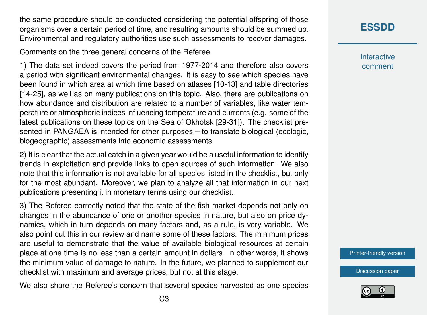the same procedure should be conducted considering the potential offspring of those organisms over a certain period of time, and resulting amounts should be summed up. Environmental and regulatory authorities use such assessments to recover damages.

Comments on the three general concerns of the Referee.

1) The data set indeed covers the period from 1977-2014 and therefore also covers a period with significant environmental changes. It is easy to see which species have been found in which area at which time based on atlases [10-13] and table directories [14-25], as well as on many publications on this topic. Also, there are publications on how abundance and distribution are related to a number of variables, like water temperature or atmospheric indices influencing temperature and currents (e.g. some of the latest publications on these topics on the Sea of Okhotsk [29-31]). The checklist presented in PANGAEA is intended for other purposes – to translate biological (ecologic, biogeographic) assessments into economic assessments.

2) It is clear that the actual catch in a given year would be a useful information to identify trends in exploitation and provide links to open sources of such information. We also note that this information is not available for all species listed in the checklist, but only for the most abundant. Moreover, we plan to analyze all that information in our next publications presenting it in monetary terms using our checklist.

3) The Referee correctly noted that the state of the fish market depends not only on changes in the abundance of one or another species in nature, but also on price dynamics, which in turn depends on many factors and, as a rule, is very variable. We also point out this in our review and name some of these factors. The minimum prices are useful to demonstrate that the value of available biological resources at certain place at one time is no less than a certain amount in dollars. In other words, it shows the minimum value of damage to nature. In the future, we planned to supplement our checklist with maximum and average prices, but not at this stage.

We also share the Referee's concern that several species harvested as one species

**Interactive** comment

[Printer-friendly version](https://www.earth-syst-sci-data-discuss.net/essd-2019-92/essd-2019-92-AC2-print.pdf)

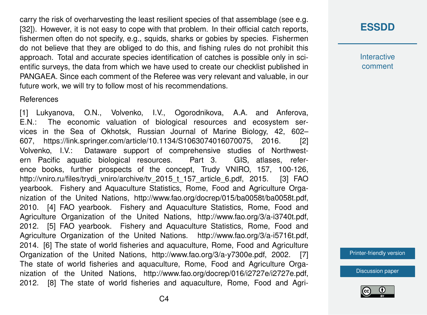carry the risk of overharvesting the least resilient species of that assemblage (see e.g. [32]). However, it is not easy to cope with that problem. In their official catch reports, fishermen often do not specify, e.g., squids, sharks or gobies by species. Fishermen do not believe that they are obliged to do this, and fishing rules do not prohibit this approach. Total and accurate species identification of catches is possible only in scientific surveys, the data from which we have used to create our checklist published in PANGAEA. Since each comment of the Referee was very relevant and valuable, in our future work, we will try to follow most of his recommendations.

#### **References**

[1] Lukyanova, O.N., Volvenko, I.V., Ogorodnikova, A.A. and Anferova, E.N.: The economic valuation of biological resources and ecosystem services in the Sea of Okhotsk, Russian Journal of Marine Biology, 42, 602– 607, https://link.springer.com/article/10.1134/S1063074016070075, 2016. [2] Volvenko, I.V.: Dataware support of comprehensive studies of Northwestern Pacific aquatic biological resources. Part 3. GIS, atlases, reference books, further prospects of the concept, Trudy VNIRO, 157, 100-126, http://vniro.ru/files/trydi\_vniro/archive/tv\_2015\_t\_157\_article\_6.pdf, 2015. [3] FAO yearbook. Fishery and Aquaculture Statistics, Rome, Food and Agriculture Organization of the United Nations, http://www.fao.org/docrep/015/ba0058t/ba0058t.pdf, 2010. [4] FAO yearbook. Fishery and Aquaculture Statistics, Rome, Food and Agriculture Organization of the United Nations, http://www.fao.org/3/a-i3740t.pdf, 2012. [5] FAO yearbook. Fishery and Aquaculture Statistics, Rome, Food and Agriculture Organization of the United Nations. http://www.fao.org/3/a-i5716t.pdf, 2014. [6] The state of world fisheries and aquaculture, Rome, Food and Agriculture Organization of the United Nations, http://www.fao.org/3/a-y7300e.pdf, 2002. [7] The state of world fisheries and aquaculture, Rome, Food and Agriculture Organization of the United Nations, http://www.fao.org/docrep/016/i2727e/i2727e.pdf, 2012. [8] The state of world fisheries and aquaculture, Rome, Food and Agri**Interactive** comment

[Printer-friendly version](https://www.earth-syst-sci-data-discuss.net/essd-2019-92/essd-2019-92-AC2-print.pdf)

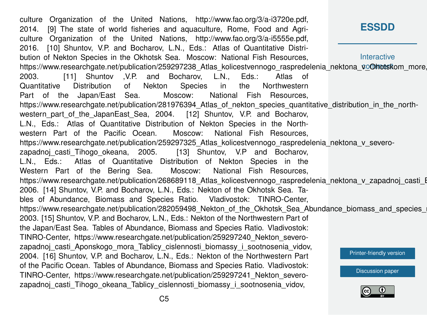**[ESSDD](https://www.earth-syst-sci-data-discuss.net/) Interactive** https://www.researchgate.net/publication/259297238\_Atlas\_kolicestvennogo\_raspredelenia\_nektona\_voOhotskom\_more, [Printer-friendly version](https://www.earth-syst-sci-data-discuss.net/essd-2019-92/essd-2019-92-AC2-print.pdf) [Discussion paper](https://www.earth-syst-sci-data-discuss.net/essd-2019-92) culture Organization of the United Nations, http://www.fao.org/3/a-i3720e.pdf, 2014. [9] The state of world fisheries and aquaculture, Rome, Food and Agriculture Organization of the United Nations, http://www.fao.org/3/a-i5555e.pdf, 2016. [10] Shuntov, V.P. and Bocharov, L.N., Eds.: Atlas of Quantitative Distribution of Nekton Species in the Okhotsk Sea. Moscow: National Fish Resources, 2003. [11] Shuntov ,V.P. and Bocharov, L.N., Eds.: Atlas of Quantitative Distribution of Nekton Species in the Northwestern Part of the Japan/East Sea. Moscow: National Fish Resources, https://www.researchgate.net/publication/281976394 Atlas of nekton species quantitative distribution in the northwestern part of the JapanEast Sea, 2004. [12] Shuntov, V.P. and Bocharov, L.N., Eds.: Atlas of Quantitative Distribution of Nekton Species in the Northwestern Part of the Pacific Ocean. Moscow: National Fish Resources, https://www.researchgate.net/publication/259297325 Atlas kolicestvennogo raspredelenia nektona v severozapadnoj casti Tihogo okeana, 2005. [13] Shuntov, V.P and Bocharov, L.N., Eds.: Atlas of Quantitative Distribution of Nekton Species in the Western Part of the Bering Sea. Moscow: National Fish Resources, https://www.researchgate.net/publication/268689118 Atlas kolicestvennogo raspredelenia nektona v zapadnoj casti I 2006. [14] Shuntov, V.P. and Bocharov, L.N., Eds.: Nekton of the Okhotsk Sea. Tables of Abundance, Biomass and Species Ratio. Vladivostok: TINRO-Center, https://www.researchgate.net/publication/282059498 Nekton of the Okhotsk Sea Abundance biomass and species 2003. [15] Shuntov, V.P. and Bocharov, L.N., Eds.: Nekton of the Northwestern Part of the Japan/East Sea. Tables of Abundance, Biomass and Species Ratio. Vladivostok: TINRO-Center, https://www.researchgate.net/publication/259297240\_Nekton\_severozapadnoj casti Aponskogo mora Tablicy cislennosti biomassy i sootnosenia vidov, 2004. [16] Shuntov, V.P. and Bocharov, L.N., Eds.: Nekton of the Northwestern Part of the Pacific Ocean. Tables of Abundance, Biomass and Species Ratio. Vladivostok: TINRO-Center, https://www.researchgate.net/publication/259297241\_Nekton\_severozapadnoj casti Tihogo okeana Tablicy cislennosti biomassy i sootnosenia vidov,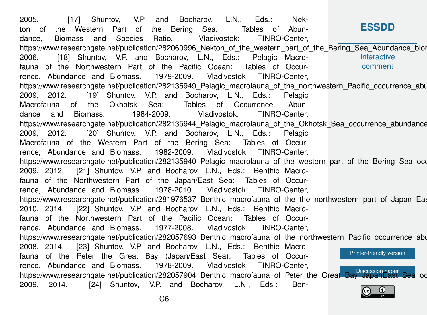**[ESSDD](https://www.earth-syst-sci-data-discuss.net/) Interactive** comment [Printer-friendly version](https://www.earth-syst-sci-data-discuss.net/essd-2019-92/essd-2019-92-AC2-print.pdf) https://www.researchgate.net/publication/282057904\_Benthic\_macrofauna\_of\_Peter\_the\_Grea[t\\_Bay\\_JapanEast\\_Sea](https://www.earth-syst-sci-data-discuss.net/essd-2019-92)\_oc 2005. [17] Shuntov, V.P and Bocharov, L.N., Eds.: Nekton of the Western Part of the Bering Sea. Tables of Abundance, Biomass and Species Ratio. Vladivostok: TINRO-Center, https://www.researchgate.net/publication/282060996\_Nekton\_of\_the\_western\_part\_of\_the\_Bering\_Sea\_Abundance\_bior 2006. [18] Shuntov, V.P. and Bocharov, L.N., Eds.: Pelagic Macrofauna of the Northwestern Part of the Pacific Ocean: Tables of Occurrence, Abundance and Biomass. 1979-2009. Vladivostok: TINRO-Center, https://www.researchgate.net/publication/282135949 Pelagic\_macrofauna\_of\_the\_northwestern\_Pacific\_occurrence\_abu 2009, 2012. [19] Shuntov, V.P. and Bocharov, L.N., Eds.: Pelagic Macrofauna of the Okhotsk Sea: Tables of Occurrence, Abundance and Biomass. 1984-2009. Vladivostok: TINRO-Center, https://www.researchgate.net/publication/282135944\_Pelagic\_macrofauna\_of\_the\_Okhotsk\_Sea\_occurrence\_abundance 2009, 2012. [20] Shuntov, V.P. and Bocharov, L.N., Eds.: Pelagic Macrofauna of the Western Part of the Bering Sea: Tables of Occurrence, Abundance and Biomass. 1982-2009. Vladivostok: TINRO-Center, https://www.researchgate.net/publication/282135940 Pelagic\_macrofauna\_of\_the\_western\_part\_of\_the\_Bering\_Sea\_occ 2009, 2012. [21] Shuntov, V.P. and Bocharov, L.N., Eds.: Benthic Macrofauna of the Northwestern Part of the Japan/East Sea: Tables of Occurrence, Abundance and Biomass. 1978-2010. Vladivostok: TINRO-Center, https://www.researchgate.net/publication/281976537 Benthic macrofauna of the the northwestern part of Japan Eas 2010, 2014. [22] Shuntov, V.P. and Bocharov, L.N., Eds.: Benthic Macrofauna of the Northwestern Part of the Pacific Ocean: Tables of Occurrence, Abundance and Biomass. 1977-2008. Vladivostok: TINRO-Center, https://www.researchgate.net/publication/282057693 Benthic\_macrofauna\_of\_the\_northwestern\_Pacific\_occurrence\_abu 2008, 2014. [23] Shuntov, V.P. and Bocharov, L.N., Eds.: Benthic Macrofauna of the Peter the Great Bay (Japan/East Sea): Tables of Occurrence, Abundance and Biomass. 1978-2009. Vladivostok: TINRO-Center, 2009, 2014. [24] Shuntov, V.P. and Bocharov, L.N., Eds.: Ben-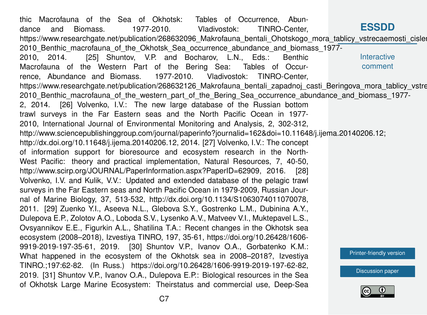**[ESSDD](https://www.earth-syst-sci-data-discuss.net/) Interactive** comment [Printer-friendly version](https://www.earth-syst-sci-data-discuss.net/essd-2019-92/essd-2019-92-AC2-print.pdf) [Discussion paper](https://www.earth-syst-sci-data-discuss.net/essd-2019-92) thic Macrofauna of the Sea of Okhotsk: Tables of Occurrence, Abundance and Biomass. 1977-2010. Vladivostok: TINRO-Center, https://www.researchgate.net/publication/268632096 Makrofauna\_bentali\_Ohotskogo\_mora\_tablicy\_vstrecaemosti\_cislen 2010\_Benthic\_macrofauna\_of\_the\_Okhotsk\_Sea\_occurrence\_abundance\_and\_biomass\_1977- 2010, 2014. [25] Shuntov, V.P. and Bocharov, L.N., Eds.: Benthic Macrofauna of the Western Part of the Bering Sea: Tables of Occurrence, Abundance and Biomass. 1977-2010. Vladivostok: TINRO-Center, https://www.researchgate.net/publication/268632126\_Makrofauna\_bentali\_zapadnoj\_casti\_Beringova\_mora\_tablicy\_vstre 2010 Benthic macrofauna of the western part of the Bering Sea occurrence abundance and biomass 1977-2, 2014. [26] Volvenko, I.V.: The new large database of the Russian bottom trawl surveys in the Far Eastern seas and the North Pacific Ocean in 1977- 2010, International Journal of Environmental Monitoring and Analysis, 2, 302-312, http://www.sciencepublishinggroup.com/journal/paperinfo?journalid=162&doi=10.11648/j.ijema.20140206.12; http://dx.doi.org/10.11648/j.ijema.20140206.12, 2014. [27] Volvenko, I.V.: The concept of information support for bioresource and ecosystem research in the North-West Pacific: theory and practical implementation, Natural Resources, 7, 40-50, http://www.scirp.org/JOURNAL/PaperInformation.aspx?PaperID=62909, 2016. [28] Volvenko, I.V. and Kulik, V.V.: Updated and extended database of the pelagic trawl surveys in the Far Eastern seas and North Pacific Ocean in 1979-2009, Russian Journal of Marine Biology, 37, 513-532, http://dx.doi.org/10.1134/S1063074011070078, 2011. [29] Zuenko Y.I., Aseeva N.L., Glebova S.Y., Gostrenko L.M., Dubinina A.Y., Dulepova E.P., Zolotov A.O., Loboda S.V., Lysenko A.V., Matveev V.I., Muktepavel L.S., Ovsyannikov E.E., Figurkin A.L., Shatilina T.A.: Recent changes in the Okhotsk sea ecosystem (2008–2018), Izvestiya TINRO, 197, 35-61, https://doi.org/10.26428/1606- 9919-2019-197-35-61, 2019. [30] Shuntov V.P., Ivanov O.A., Gorbatenko K.M.: What happened in the ecosystem of the Okhotsk sea in 2008–2018?, Izvestiya TINRO.;197:62-82. (In Russ.) https://doi.org/10.26428/1606-9919-2019-197-62-82, 2019. [31] Shuntov V.P., Ivanov O.A., Dulepova E.P.: Biological resources in the Sea of Okhotsk Large Marine Ecosystem: Theirstatus and commercial use, Deep-Sea